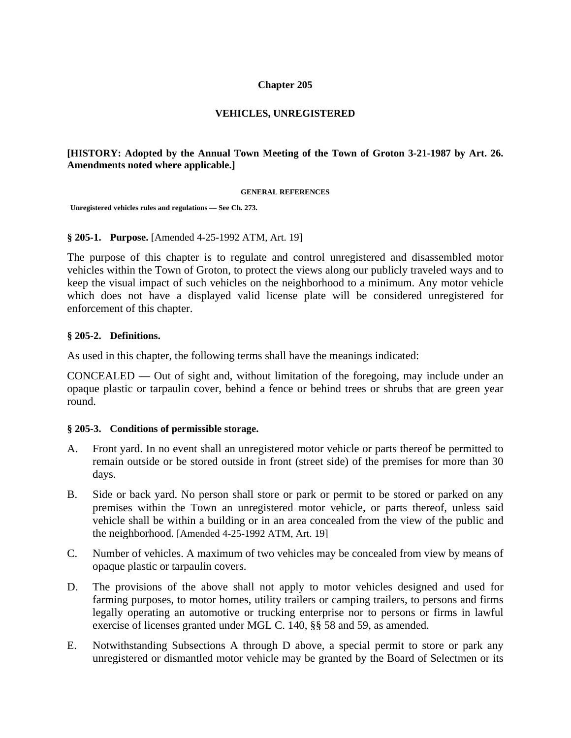## **Chapter 205**

# **VEHICLES, UNREGISTERED**

## **[HISTORY: Adopted by the Annual Town Meeting of the Town of Groton 3-21-1987 by Art. 26. Amendments noted where applicable.]**

#### **GENERAL REFERENCES**

 **Unregistered vehicles rules and regulations — See Ch. 273.** 

#### **§ 205-1. Purpose.** [Amended 4-25-1992 ATM, Art. 19]

The purpose of this chapter is to regulate and control unregistered and disassembled motor vehicles within the Town of Groton, to protect the views along our publicly traveled ways and to keep the visual impact of such vehicles on the neighborhood to a minimum. Any motor vehicle which does not have a displayed valid license plate will be considered unregistered for enforcement of this chapter.

## **§ 205-2. Definitions.**

As used in this chapter, the following terms shall have the meanings indicated:

CONCEALED — Out of sight and, without limitation of the foregoing, may include under an opaque plastic or tarpaulin cover, behind a fence or behind trees or shrubs that are green year round.

#### **§ 205-3. Conditions of permissible storage.**

- A. Front yard. In no event shall an unregistered motor vehicle or parts thereof be permitted to remain outside or be stored outside in front (street side) of the premises for more than 30 days.
- B. Side or back yard. No person shall store or park or permit to be stored or parked on any premises within the Town an unregistered motor vehicle, or parts thereof, unless said vehicle shall be within a building or in an area concealed from the view of the public and the neighborhood. [Amended 4-25-1992 ATM, Art. 19]
- C. Number of vehicles. A maximum of two vehicles may be concealed from view by means of opaque plastic or tarpaulin covers.
- D. The provisions of the above shall not apply to motor vehicles designed and used for farming purposes, to motor homes, utility trailers or camping trailers, to persons and firms legally operating an automotive or trucking enterprise nor to persons or firms in lawful exercise of licenses granted under MGL C. 140, §§ 58 and 59, as amended.
- E. Notwithstanding Subsections A through D above, a special permit to store or park any unregistered or dismantled motor vehicle may be granted by the Board of Selectmen or its